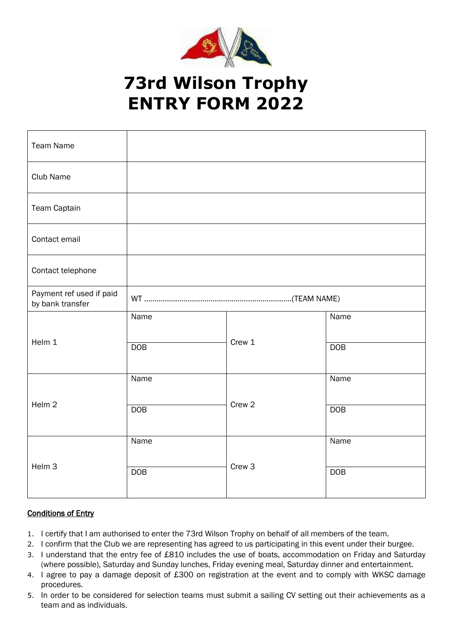

# **73rd Wilson Trophy ENTRY FORM 2022**

| <b>Team Name</b>                             |            |                   |            |
|----------------------------------------------|------------|-------------------|------------|
| Club Name                                    |            |                   |            |
| <b>Team Captain</b>                          |            |                   |            |
| Contact email                                |            |                   |            |
| Contact telephone                            |            |                   |            |
| Payment ref used if paid<br>by bank transfer |            |                   |            |
|                                              | Name       |                   | Name       |
| Helm 1                                       | <b>DOB</b> | Crew 1            | DOB        |
|                                              | Name       |                   | Name       |
| Helm <sub>2</sub>                            | <b>DOB</b> | Crew 2            | <b>DOB</b> |
| Helm <sub>3</sub>                            | Name       | Crew <sub>3</sub> | Name       |
|                                              | <b>DOB</b> |                   | <b>DOB</b> |

### Conditions of Entry

- 1. I certify that I am authorised to enter the 73rd Wilson Trophy on behalf of all members of the team.
- 2. I confirm that the Club we are representing has agreed to us participating in this event under their burgee.
- 3. I understand that the entry fee of £810 includes the use of boats, accommodation on Friday and Saturday (where possible), Saturday and Sunday lunches, Friday evening meal, Saturday dinner and entertainment.
- 4. I agree to pay a damage deposit of £300 on registration at the event and to comply with WKSC damage procedures.
- 5. In order to be considered for selection teams must submit a sailing CV setting out their achievements as a team and as individuals.